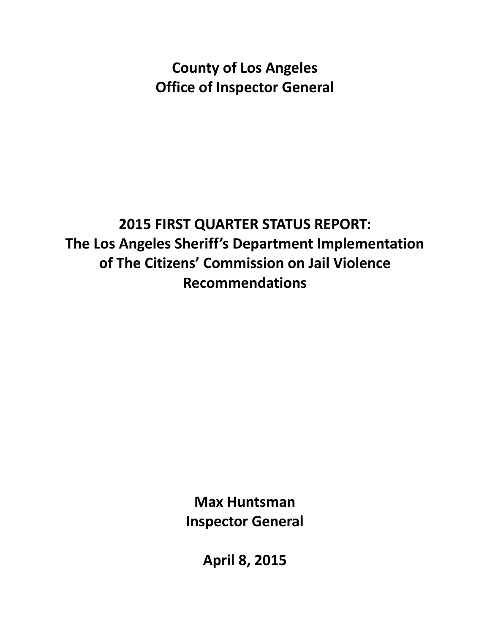**County of Los Angeles Office of Inspector General**

# **2015 FIRST QUARTER STATUS REPORT: The Los Angeles Sheriff's Department Implementation of The Citizens' Commission on Jail Violence Recommendations**

**Max Huntsman Inspector General**

**April 8, 2015**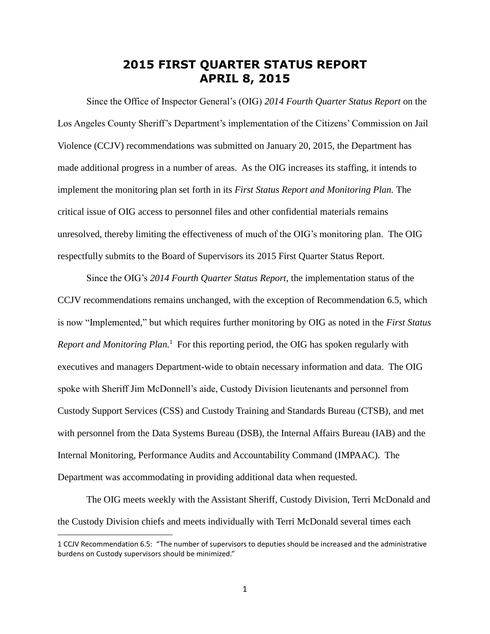### **2015 FIRST QUARTER STATUS REPORT APRIL 8, 2015**

Since the Office of Inspector General's (OIG) *2014 Fourth Quarter Status Report* on the Los Angeles County Sheriff's Department's implementation of the Citizens' Commission on Jail Violence (CCJV) recommendations was submitted on January 20, 2015, the Department has made additional progress in a number of areas. As the OIG increases its staffing, it intends to implement the monitoring plan set forth in its *First Status Report and Monitoring Plan.* The critical issue of OIG access to personnel files and other confidential materials remains unresolved, thereby limiting the effectiveness of much of the OIG's monitoring plan. The OIG respectfully submits to the Board of Supervisors its 2015 First Quarter Status Report.

Since the OIG's *2014 Fourth Quarter Status Report*, the implementation status of the CCJV recommendations remains unchanged, with the exception of Recommendation 6.5, which is now "Implemented," but which requires further monitoring by OIG as noted in the *First Status*  Report and Monitoring Plan.<sup>1</sup> For this reporting period, the OIG has spoken regularly with executives and managers Department-wide to obtain necessary information and data. The OIG spoke with Sheriff Jim McDonnell's aide, Custody Division lieutenants and personnel from Custody Support Services (CSS) and Custody Training and Standards Bureau (CTSB), and met with personnel from the Data Systems Bureau (DSB), the Internal Affairs Bureau (IAB) and the Internal Monitoring, Performance Audits and Accountability Command (IMPAAC). The Department was accommodating in providing additional data when requested.

The OIG meets weekly with the Assistant Sheriff, Custody Division, Terri McDonald and the Custody Division chiefs and meets individually with Terri McDonald several times each

 $\overline{a}$ 

<sup>1</sup> CCJV Recommendation 6.5: "The number of supervisors to deputies should be increased and the administrative burdens on Custody supervisors should be minimized."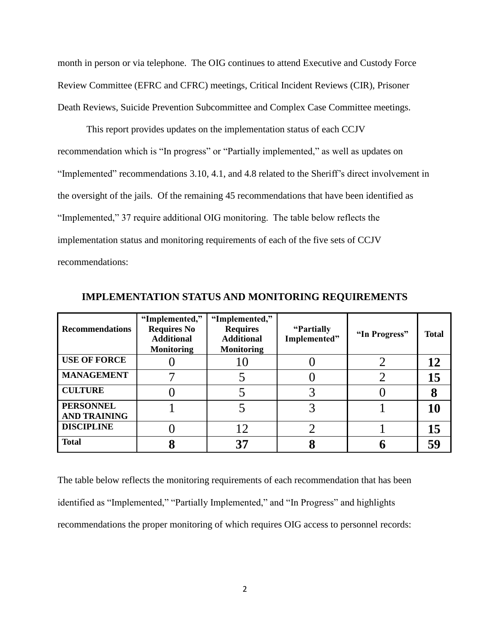month in person or via telephone. The OIG continues to attend Executive and Custody Force Review Committee (EFRC and CFRC) meetings, Critical Incident Reviews (CIR), Prisoner Death Reviews, Suicide Prevention Subcommittee and Complex Case Committee meetings.

This report provides updates on the implementation status of each CCJV recommendation which is "In progress" or "Partially implemented," as well as updates on "Implemented" recommendations 3.10, 4.1, and 4.8 related to the Sheriff's direct involvement in the oversight of the jails. Of the remaining 45 recommendations that have been identified as "Implemented," 37 require additional OIG monitoring. The table below reflects the implementation status and monitoring requirements of each of the five sets of CCJV recommendations:

| <b>Recommendations</b>                  | "Implemented,"<br><b>Requires No</b><br><b>Additional</b><br><b>Monitoring</b> | "Implemented,"<br><b>Requires</b><br><b>Additional</b><br><b>Monitoring</b> | "Partially"<br>Implemented" | "In Progress" | <b>Total</b> |
|-----------------------------------------|--------------------------------------------------------------------------------|-----------------------------------------------------------------------------|-----------------------------|---------------|--------------|
| <b>USE OF FORCE</b>                     |                                                                                |                                                                             |                             |               | 12           |
| <b>MANAGEMENT</b>                       |                                                                                |                                                                             |                             |               | 15           |
| <b>CULTURE</b>                          |                                                                                |                                                                             |                             |               | 8            |
| <b>PERSONNEL</b><br><b>AND TRAINING</b> |                                                                                |                                                                             |                             |               | 10           |
| <b>DISCIPLINE</b>                       |                                                                                | 12                                                                          |                             |               | 15           |
| <b>Total</b>                            |                                                                                | 37                                                                          |                             |               | 59           |

**IMPLEMENTATION STATUS AND MONITORING REQUIREMENTS**

The table below reflects the monitoring requirements of each recommendation that has been identified as "Implemented," "Partially Implemented," and "In Progress" and highlights recommendations the proper monitoring of which requires OIG access to personnel records: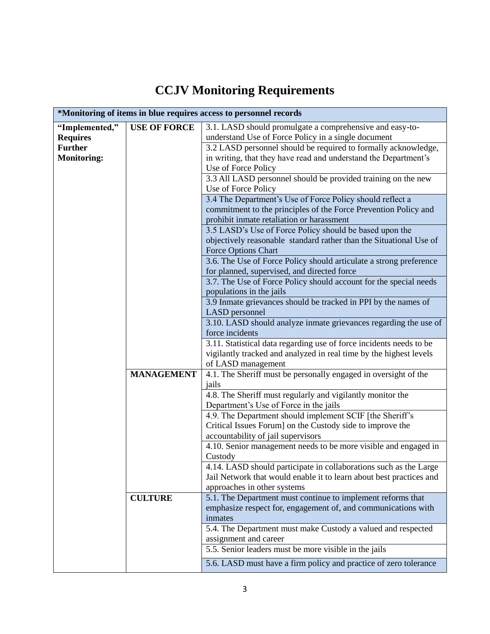# **CCJV Monitoring Requirements**

| *Monitoring of items in blue requires access to personnel records |                     |                                                                                                                                          |  |  |  |
|-------------------------------------------------------------------|---------------------|------------------------------------------------------------------------------------------------------------------------------------------|--|--|--|
| "Implemented,"                                                    | <b>USE OF FORCE</b> | 3.1. LASD should promulgate a comprehensive and easy-to-                                                                                 |  |  |  |
| <b>Requires</b>                                                   |                     | understand Use of Force Policy in a single document                                                                                      |  |  |  |
| <b>Further</b>                                                    |                     | 3.2 LASD personnel should be required to formally acknowledge,                                                                           |  |  |  |
| <b>Monitoring:</b>                                                |                     | in writing, that they have read and understand the Department's                                                                          |  |  |  |
|                                                                   |                     | Use of Force Policy                                                                                                                      |  |  |  |
|                                                                   |                     | 3.3 All LASD personnel should be provided training on the new                                                                            |  |  |  |
|                                                                   |                     | Use of Force Policy                                                                                                                      |  |  |  |
|                                                                   |                     | 3.4 The Department's Use of Force Policy should reflect a                                                                                |  |  |  |
|                                                                   |                     | commitment to the principles of the Force Prevention Policy and                                                                          |  |  |  |
|                                                                   |                     | prohibit inmate retaliation or harassment                                                                                                |  |  |  |
|                                                                   |                     | 3.5 LASD's Use of Force Policy should be based upon the                                                                                  |  |  |  |
|                                                                   |                     | objectively reasonable standard rather than the Situational Use of                                                                       |  |  |  |
|                                                                   |                     | Force Options Chart                                                                                                                      |  |  |  |
|                                                                   |                     | 3.6. The Use of Force Policy should articulate a strong preference                                                                       |  |  |  |
|                                                                   |                     | for planned, supervised, and directed force                                                                                              |  |  |  |
|                                                                   |                     | 3.7. The Use of Force Policy should account for the special needs                                                                        |  |  |  |
|                                                                   |                     | populations in the jails                                                                                                                 |  |  |  |
|                                                                   |                     | 3.9 Inmate grievances should be tracked in PPI by the names of<br>LASD personnel                                                         |  |  |  |
|                                                                   |                     | 3.10. LASD should analyze inmate grievances regarding the use of                                                                         |  |  |  |
|                                                                   |                     | force incidents                                                                                                                          |  |  |  |
|                                                                   |                     | 3.11. Statistical data regarding use of force incidents needs to be                                                                      |  |  |  |
|                                                                   |                     | vigilantly tracked and analyzed in real time by the highest levels                                                                       |  |  |  |
|                                                                   |                     | of LASD management                                                                                                                       |  |  |  |
|                                                                   | <b>MANAGEMENT</b>   | 4.1. The Sheriff must be personally engaged in oversight of the                                                                          |  |  |  |
|                                                                   |                     | jails                                                                                                                                    |  |  |  |
|                                                                   |                     | 4.8. The Sheriff must regularly and vigilantly monitor the                                                                               |  |  |  |
|                                                                   |                     | Department's Use of Force in the jails                                                                                                   |  |  |  |
|                                                                   |                     | 4.9. The Department should implement SCIF [the Sheriff's                                                                                 |  |  |  |
|                                                                   |                     | Critical Issues Forum] on the Custody side to improve the                                                                                |  |  |  |
|                                                                   |                     | accountability of jail supervisors                                                                                                       |  |  |  |
|                                                                   |                     | 4.10. Senior management needs to be more visible and engaged in                                                                          |  |  |  |
|                                                                   |                     | Custody                                                                                                                                  |  |  |  |
|                                                                   |                     | 4.14. LASD should participate in collaborations such as the Large<br>Jail Network that would enable it to learn about best practices and |  |  |  |
|                                                                   |                     | approaches in other systems                                                                                                              |  |  |  |
|                                                                   | <b>CULTURE</b>      | 5.1. The Department must continue to implement reforms that                                                                              |  |  |  |
|                                                                   |                     | emphasize respect for, engagement of, and communications with                                                                            |  |  |  |
|                                                                   |                     | inmates                                                                                                                                  |  |  |  |
|                                                                   |                     | 5.4. The Department must make Custody a valued and respected                                                                             |  |  |  |
|                                                                   |                     | assignment and career                                                                                                                    |  |  |  |
|                                                                   |                     | 5.5. Senior leaders must be more visible in the jails                                                                                    |  |  |  |
|                                                                   |                     | 5.6. LASD must have a firm policy and practice of zero tolerance                                                                         |  |  |  |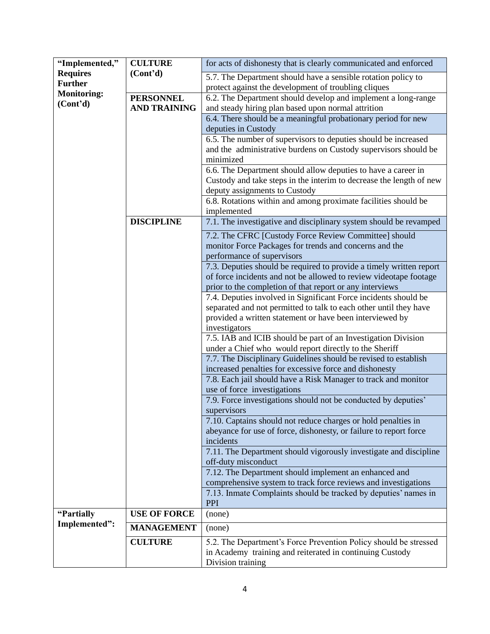| "Implemented,"        | <b>CULTURE</b>        | for acts of dishonesty that is clearly communicated and enforced                                                                  |
|-----------------------|-----------------------|-----------------------------------------------------------------------------------------------------------------------------------|
| <b>Requires</b>       | (Cont <sup>2</sup> d) | 5.7. The Department should have a sensible rotation policy to                                                                     |
| <b>Further</b>        |                       | protect against the development of troubling cliques                                                                              |
| <b>Monitoring:</b>    | <b>PERSONNEL</b>      | 6.2. The Department should develop and implement a long-range                                                                     |
| (Cont <sup>2</sup> d) | <b>AND TRAINING</b>   | and steady hiring plan based upon normal attrition                                                                                |
|                       |                       | 6.4. There should be a meaningful probationary period for new                                                                     |
|                       |                       | deputies in Custody                                                                                                               |
|                       |                       |                                                                                                                                   |
|                       |                       | 6.5. The number of supervisors to deputies should be increased<br>and the administrative burdens on Custody supervisors should be |
|                       |                       |                                                                                                                                   |
|                       |                       | minimized                                                                                                                         |
|                       |                       | 6.6. The Department should allow deputies to have a career in                                                                     |
|                       |                       | Custody and take steps in the interim to decrease the length of new                                                               |
|                       |                       | deputy assignments to Custody                                                                                                     |
|                       |                       | 6.8. Rotations within and among proximate facilities should be                                                                    |
|                       |                       | implemented                                                                                                                       |
|                       | <b>DISCIPLINE</b>     | 7.1. The investigative and disciplinary system should be revamped                                                                 |
|                       |                       | 7.2. The CFRC [Custody Force Review Committee] should                                                                             |
|                       |                       | monitor Force Packages for trends and concerns and the                                                                            |
|                       |                       | performance of supervisors                                                                                                        |
|                       |                       | 7.3. Deputies should be required to provide a timely written report                                                               |
|                       |                       | of force incidents and not be allowed to review videotape footage                                                                 |
|                       |                       | prior to the completion of that report or any interviews                                                                          |
|                       |                       | 7.4. Deputies involved in Significant Force incidents should be                                                                   |
|                       |                       | separated and not permitted to talk to each other until they have                                                                 |
|                       |                       | provided a written statement or have been interviewed by                                                                          |
|                       |                       | investigators                                                                                                                     |
|                       |                       | 7.5. IAB and ICIB should be part of an Investigation Division                                                                     |
|                       |                       | under a Chief who would report directly to the Sheriff                                                                            |
|                       |                       | 7.7. The Disciplinary Guidelines should be revised to establish                                                                   |
|                       |                       | increased penalties for excessive force and dishonesty                                                                            |
|                       |                       | 7.8. Each jail should have a Risk Manager to track and monitor                                                                    |
|                       |                       | use of force investigations                                                                                                       |
|                       |                       | 7.9. Force investigations should not be conducted by deputies'                                                                    |
|                       |                       | supervisors                                                                                                                       |
|                       |                       | 7.10. Captains should not reduce charges or hold penalties in                                                                     |
|                       |                       | abeyance for use of force, dishonesty, or failure to report force                                                                 |
|                       |                       | incidents                                                                                                                         |
|                       |                       | 7.11. The Department should vigorously investigate and discipline                                                                 |
|                       |                       | off-duty misconduct                                                                                                               |
|                       |                       | 7.12. The Department should implement an enhanced and                                                                             |
|                       |                       | comprehensive system to track force reviews and investigations                                                                    |
|                       |                       | 7.13. Inmate Complaints should be tracked by deputies' names in                                                                   |
|                       |                       | <b>PPI</b>                                                                                                                        |
| "Partially            | <b>USE OF FORCE</b>   | (none)                                                                                                                            |
| Implemented":         | <b>MANAGEMENT</b>     | (none)                                                                                                                            |
|                       | <b>CULTURE</b>        | 5.2. The Department's Force Prevention Policy should be stressed                                                                  |
|                       |                       | in Academy training and reiterated in continuing Custody                                                                          |
|                       |                       | Division training                                                                                                                 |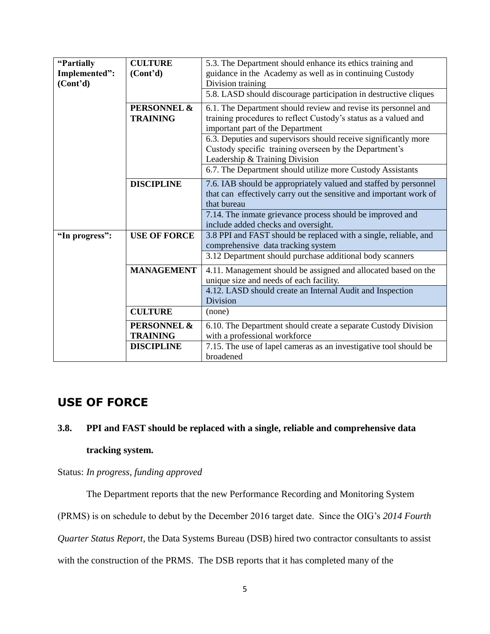| 5.3. The Department should enhance its ethics training and         |
|--------------------------------------------------------------------|
| guidance in the Academy as well as in continuing Custody           |
|                                                                    |
| 5.8. LASD should discourage participation in destructive cliques   |
| 6.1. The Department should review and revise its personnel and     |
| training procedures to reflect Custody's status as a valued and    |
| important part of the Department                                   |
| 6.3. Deputies and supervisors should receive significantly more    |
|                                                                    |
| Custody specific training overseen by the Department's             |
| Leadership & Training Division                                     |
| 6.7. The Department should utilize more Custody Assistants         |
| 7.6. IAB should be appropriately valued and staffed by personnel   |
| that can effectively carry out the sensitive and important work of |
|                                                                    |
| 7.14. The inmate grievance process should be improved and          |
| include added checks and oversight.                                |
|                                                                    |
| 3.8 PPI and FAST should be replaced with a single, reliable, and   |
| comprehensive data tracking system                                 |
| 3.12 Department should purchase additional body scanners           |
| 4.11. Management should be assigned and allocated based on the     |
| unique size and needs of each facility.                            |
| 4.12. LASD should create an Internal Audit and Inspection          |
|                                                                    |
|                                                                    |
|                                                                    |
|                                                                    |
| 6.10. The Department should create a separate Custody Division     |
|                                                                    |
| 7.15. The use of lapel cameras as an investigative tool should be  |
|                                                                    |

### **USE OF FORCE**

### **3.8. PPI and FAST should be replaced with a single, reliable and comprehensive data**

### **tracking system.**

Status: *In progress, funding approved*

The Department reports that the new Performance Recording and Monitoring System

(PRMS) is on schedule to debut by the December 2016 target date. Since the OIG's *2014 Fourth* 

*Quarter Status Report*, the Data Systems Bureau (DSB) hired two contractor consultants to assist

with the construction of the PRMS. The DSB reports that it has completed many of the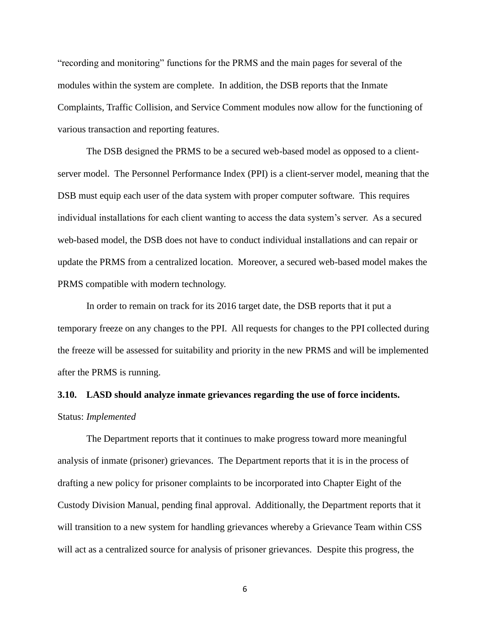"recording and monitoring" functions for the PRMS and the main pages for several of the modules within the system are complete. In addition, the DSB reports that the Inmate Complaints, Traffic Collision, and Service Comment modules now allow for the functioning of various transaction and reporting features.

The DSB designed the PRMS to be a secured web-based model as opposed to a clientserver model. The Personnel Performance Index (PPI) is a client-server model, meaning that the DSB must equip each user of the data system with proper computer software. This requires individual installations for each client wanting to access the data system's server. As a secured web-based model, the DSB does not have to conduct individual installations and can repair or update the PRMS from a centralized location. Moreover, a secured web-based model makes the PRMS compatible with modern technology.

In order to remain on track for its 2016 target date, the DSB reports that it put a temporary freeze on any changes to the PPI. All requests for changes to the PPI collected during the freeze will be assessed for suitability and priority in the new PRMS and will be implemented after the PRMS is running.

### **3.10. LASD should analyze inmate grievances regarding the use of force incidents.** Status: *Implemented*

The Department reports that it continues to make progress toward more meaningful analysis of inmate (prisoner) grievances. The Department reports that it is in the process of drafting a new policy for prisoner complaints to be incorporated into Chapter Eight of the Custody Division Manual, pending final approval. Additionally, the Department reports that it will transition to a new system for handling grievances whereby a Grievance Team within CSS will act as a centralized source for analysis of prisoner grievances. Despite this progress, the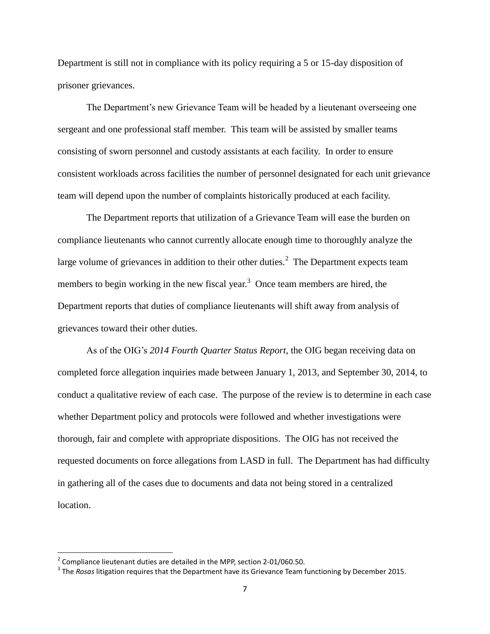Department is still not in compliance with its policy requiring a 5 or 15-day disposition of prisoner grievances.

The Department's new Grievance Team will be headed by a lieutenant overseeing one sergeant and one professional staff member. This team will be assisted by smaller teams consisting of sworn personnel and custody assistants at each facility. In order to ensure consistent workloads across facilities the number of personnel designated for each unit grievance team will depend upon the number of complaints historically produced at each facility.

The Department reports that utilization of a Grievance Team will ease the burden on compliance lieutenants who cannot currently allocate enough time to thoroughly analyze the large volume of grievances in addition to their other duties.<sup>2</sup> The Department expects team members to begin working in the new fiscal year.<sup>3</sup> Once team members are hired, the Department reports that duties of compliance lieutenants will shift away from analysis of grievances toward their other duties.

As of the OIG's *2014 Fourth Quarter Status Report*, the OIG began receiving data on completed force allegation inquiries made between January 1, 2013, and September 30, 2014, to conduct a qualitative review of each case. The purpose of the review is to determine in each case whether Department policy and protocols were followed and whether investigations were thorough, fair and complete with appropriate dispositions. The OIG has not received the requested documents on force allegations from LASD in full. The Department has had difficulty in gathering all of the cases due to documents and data not being stored in a centralized location.

l

 $2^{2}$  Compliance lieutenant duties are detailed in the MPP, section 2-01/060.50.

<sup>3</sup> The *Rosas* litigation requires that the Department have its Grievance Team functioning by December 2015.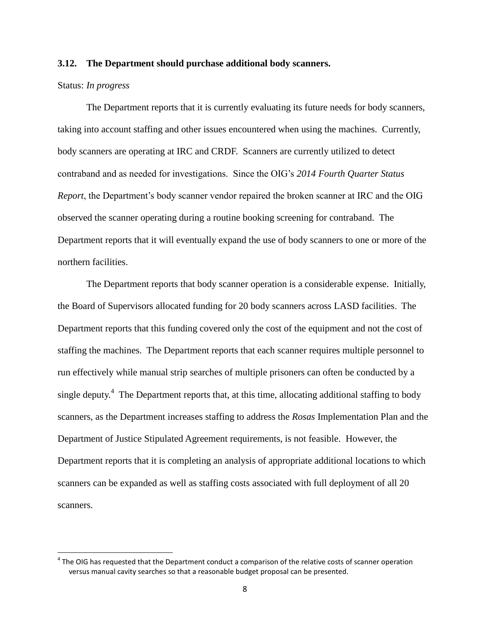#### **3.12. The Department should purchase additional body scanners.**

#### Status: *In progress*

l

The Department reports that it is currently evaluating its future needs for body scanners, taking into account staffing and other issues encountered when using the machines. Currently, body scanners are operating at IRC and CRDF. Scanners are currently utilized to detect contraband and as needed for investigations. Since the OIG's *2014 Fourth Quarter Status Report*, the Department's body scanner vendor repaired the broken scanner at IRC and the OIG observed the scanner operating during a routine booking screening for contraband. The Department reports that it will eventually expand the use of body scanners to one or more of the northern facilities.

The Department reports that body scanner operation is a considerable expense. Initially, the Board of Supervisors allocated funding for 20 body scanners across LASD facilities. The Department reports that this funding covered only the cost of the equipment and not the cost of staffing the machines. The Department reports that each scanner requires multiple personnel to run effectively while manual strip searches of multiple prisoners can often be conducted by a single deputy.<sup>4</sup> The Department reports that, at this time, allocating additional staffing to body scanners, as the Department increases staffing to address the *Rosas* Implementation Plan and the Department of Justice Stipulated Agreement requirements, is not feasible. However, the Department reports that it is completing an analysis of appropriate additional locations to which scanners can be expanded as well as staffing costs associated with full deployment of all 20 scanners.

 $<sup>4</sup>$  The OIG has requested that the Department conduct a comparison of the relative costs of scanner operation</sup> versus manual cavity searches so that a reasonable budget proposal can be presented.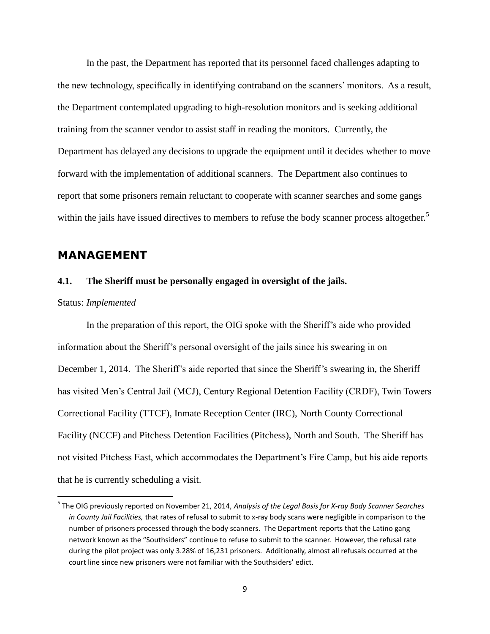In the past, the Department has reported that its personnel faced challenges adapting to the new technology, specifically in identifying contraband on the scanners' monitors. As a result, the Department contemplated upgrading to high-resolution monitors and is seeking additional training from the scanner vendor to assist staff in reading the monitors. Currently, the Department has delayed any decisions to upgrade the equipment until it decides whether to move forward with the implementation of additional scanners. The Department also continues to report that some prisoners remain reluctant to cooperate with scanner searches and some gangs within the jails have issued directives to members to refuse the body scanner process altogether.<sup>5</sup>

### **MANAGEMENT**

#### **4.1. The Sheriff must be personally engaged in oversight of the jails.**

#### Status: *Implemented*

 $\overline{a}$ 

In the preparation of this report, the OIG spoke with the Sheriff's aide who provided information about the Sheriff's personal oversight of the jails since his swearing in on December 1, 2014. The Sheriff's aide reported that since the Sheriff's swearing in, the Sheriff has visited Men's Central Jail (MCJ), Century Regional Detention Facility (CRDF), Twin Towers Correctional Facility (TTCF), Inmate Reception Center (IRC), North County Correctional Facility (NCCF) and Pitchess Detention Facilities (Pitchess), North and South. The Sheriff has not visited Pitchess East, which accommodates the Department's Fire Camp, but his aide reports that he is currently scheduling a visit.

<sup>5</sup> The OIG previously reported on November 21, 2014, *Analysis of the Legal Basis for X-ray Body Scanner Searches in County Jail Facilities,* that rates of refusal to submit to x-ray body scans were negligible in comparison to the number of prisoners processed through the body scanners. The Department reports that the Latino gang network known as the "Southsiders" continue to refuse to submit to the scanner. However, the refusal rate during the pilot project was only 3.28% of 16,231 prisoners. Additionally, almost all refusals occurred at the court line since new prisoners were not familiar with the Southsiders' edict.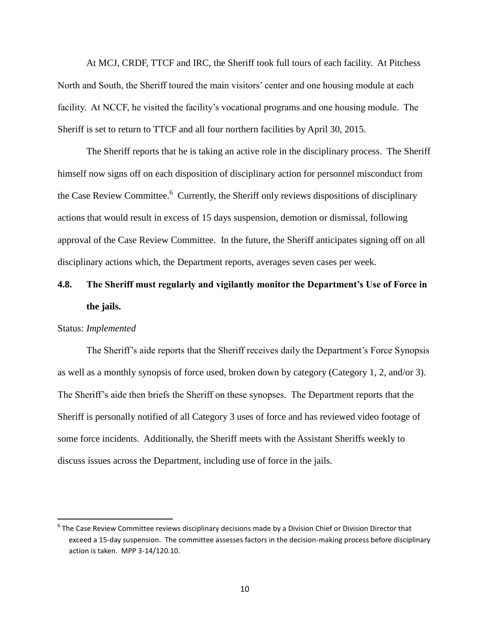At MCJ, CRDF, TTCF and IRC, the Sheriff took full tours of each facility. At Pitchess North and South, the Sheriff toured the main visitors' center and one housing module at each facility. At NCCF, he visited the facility's vocational programs and one housing module. The Sheriff is set to return to TTCF and all four northern facilities by April 30, 2015.

The Sheriff reports that he is taking an active role in the disciplinary process. The Sheriff himself now signs off on each disposition of disciplinary action for personnel misconduct from the Case Review Committee.<sup>6</sup> Currently, the Sheriff only reviews dispositions of disciplinary actions that would result in excess of 15 days suspension, demotion or dismissal, following approval of the Case Review Committee. In the future, the Sheriff anticipates signing off on all disciplinary actions which, the Department reports, averages seven cases per week.

## **4.8. The Sheriff must regularly and vigilantly monitor the Department's Use of Force in the jails.**

#### Status: *Implemented*

 $\overline{\phantom{a}}$ 

The Sheriff's aide reports that the Sheriff receives daily the Department's Force Synopsis as well as a monthly synopsis of force used, broken down by category (Category 1, 2, and/or 3). The Sheriff's aide then briefs the Sheriff on these synopses. The Department reports that the Sheriff is personally notified of all Category 3 uses of force and has reviewed video footage of some force incidents. Additionally, the Sheriff meets with the Assistant Sheriffs weekly to discuss issues across the Department, including use of force in the jails.

 $^6$  The Case Review Committee reviews disciplinary decisions made by a Division Chief or Division Director that exceed a 15-day suspension. The committee assesses factors in the decision-making process before disciplinary action is taken. MPP 3-14/120.10.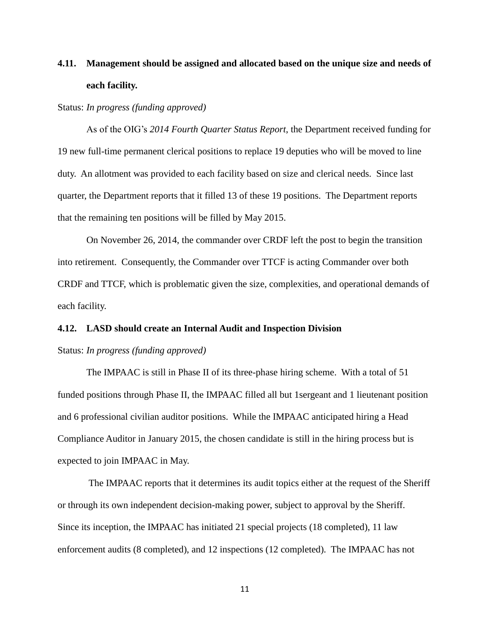## **4.11. Management should be assigned and allocated based on the unique size and needs of each facility.**

#### Status: *In progress (funding approved)*

As of the OIG's *2014 Fourth Quarter Status Report*, the Department received funding for 19 new full-time permanent clerical positions to replace 19 deputies who will be moved to line duty. An allotment was provided to each facility based on size and clerical needs. Since last quarter, the Department reports that it filled 13 of these 19 positions. The Department reports that the remaining ten positions will be filled by May 2015.

On November 26, 2014, the commander over CRDF left the post to begin the transition into retirement. Consequently, the Commander over TTCF is acting Commander over both CRDF and TTCF, which is problematic given the size, complexities, and operational demands of each facility.

#### **4.12. LASD should create an Internal Audit and Inspection Division**

#### Status: *In progress (funding approved)*

The IMPAAC is still in Phase II of its three-phase hiring scheme. With a total of 51 funded positions through Phase II, the IMPAAC filled all but 1sergeant and 1 lieutenant position and 6 professional civilian auditor positions. While the IMPAAC anticipated hiring a Head Compliance Auditor in January 2015, the chosen candidate is still in the hiring process but is expected to join IMPAAC in May.

The IMPAAC reports that it determines its audit topics either at the request of the Sheriff or through its own independent decision-making power, subject to approval by the Sheriff. Since its inception, the IMPAAC has initiated 21 special projects (18 completed), 11 law enforcement audits (8 completed), and 12 inspections (12 completed). The IMPAAC has not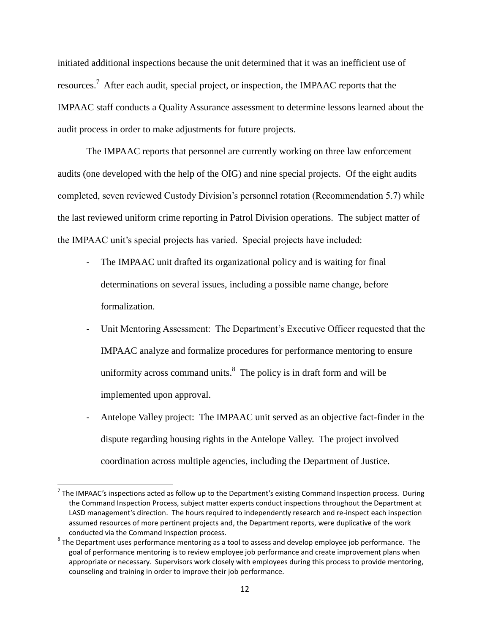initiated additional inspections because the unit determined that it was an inefficient use of resources.<sup>7</sup> After each audit, special project, or inspection, the IMPAAC reports that the IMPAAC staff conducts a Quality Assurance assessment to determine lessons learned about the audit process in order to make adjustments for future projects.

The IMPAAC reports that personnel are currently working on three law enforcement audits (one developed with the help of the OIG) and nine special projects. Of the eight audits completed, seven reviewed Custody Division's personnel rotation (Recommendation 5.7) while the last reviewed uniform crime reporting in Patrol Division operations. The subject matter of the IMPAAC unit's special projects has varied. Special projects have included:

- The IMPAAC unit drafted its organizational policy and is waiting for final determinations on several issues, including a possible name change, before formalization.
- Unit Mentoring Assessment: The Department's Executive Officer requested that the IMPAAC analyze and formalize procedures for performance mentoring to ensure uniformity across command units. $8$  The policy is in draft form and will be implemented upon approval.
- Antelope Valley project: The IMPAAC unit served as an objective fact-finder in the dispute regarding housing rights in the Antelope Valley. The project involved coordination across multiple agencies, including the Department of Justice.

 $\overline{\phantom{a}}$ 

 $^7$  The IMPAAC's inspections acted as follow up to the Department's existing Command Inspection process. During the Command Inspection Process, subject matter experts conduct inspections throughout the Department at LASD management's direction. The hours required to independently research and re-inspect each inspection assumed resources of more pertinent projects and, the Department reports, were duplicative of the work conducted via the Command Inspection process.

 $^8$  The Department uses performance mentoring as a tool to assess and develop employee job performance. The goal of performance mentoring is to review employee job performance and create improvement plans when appropriate or necessary. Supervisors work closely with employees during this process to provide mentoring, counseling and training in order to improve their job performance.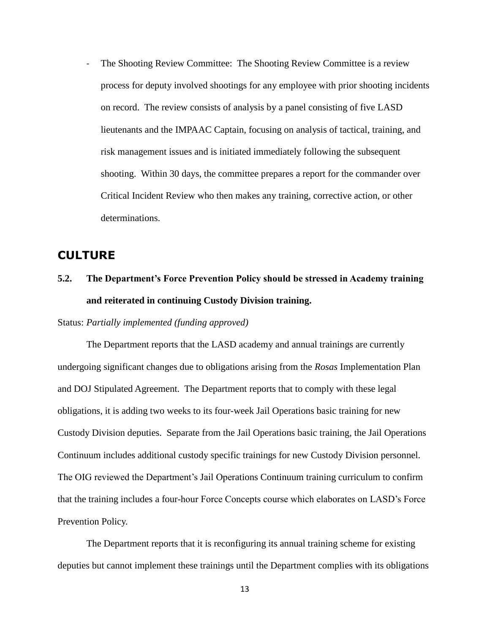- The Shooting Review Committee: The Shooting Review Committee is a review process for deputy involved shootings for any employee with prior shooting incidents on record. The review consists of analysis by a panel consisting of five LASD lieutenants and the IMPAAC Captain, focusing on analysis of tactical, training, and risk management issues and is initiated immediately following the subsequent shooting. Within 30 days, the committee prepares a report for the commander over Critical Incident Review who then makes any training, corrective action, or other determinations.

### **CULTURE**

## **5.2. The Department's Force Prevention Policy should be stressed in Academy training and reiterated in continuing Custody Division training.**

Status: *Partially implemented (funding approved)*

The Department reports that the LASD academy and annual trainings are currently undergoing significant changes due to obligations arising from the *Rosas* Implementation Plan and DOJ Stipulated Agreement. The Department reports that to comply with these legal obligations, it is adding two weeks to its four-week Jail Operations basic training for new Custody Division deputies. Separate from the Jail Operations basic training, the Jail Operations Continuum includes additional custody specific trainings for new Custody Division personnel. The OIG reviewed the Department's Jail Operations Continuum training curriculum to confirm that the training includes a four-hour Force Concepts course which elaborates on LASD's Force Prevention Policy.

The Department reports that it is reconfiguring its annual training scheme for existing deputies but cannot implement these trainings until the Department complies with its obligations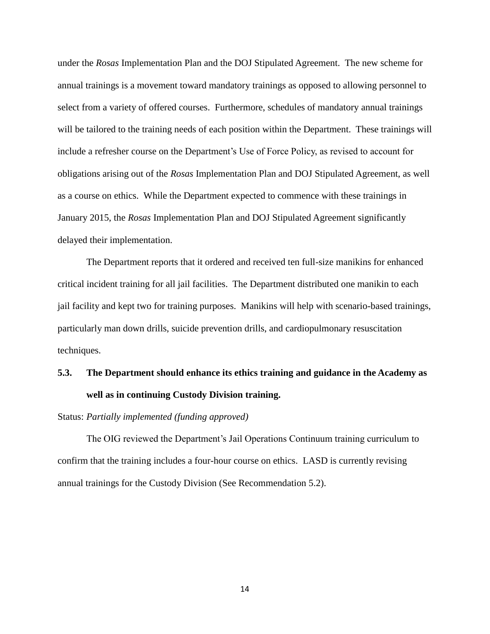under the *Rosas* Implementation Plan and the DOJ Stipulated Agreement. The new scheme for annual trainings is a movement toward mandatory trainings as opposed to allowing personnel to select from a variety of offered courses. Furthermore, schedules of mandatory annual trainings will be tailored to the training needs of each position within the Department. These trainings will include a refresher course on the Department's Use of Force Policy, as revised to account for obligations arising out of the *Rosas* Implementation Plan and DOJ Stipulated Agreement, as well as a course on ethics. While the Department expected to commence with these trainings in January 2015, the *Rosas* Implementation Plan and DOJ Stipulated Agreement significantly delayed their implementation.

The Department reports that it ordered and received ten full-size manikins for enhanced critical incident training for all jail facilities. The Department distributed one manikin to each jail facility and kept two for training purposes. Manikins will help with scenario-based trainings, particularly man down drills, suicide prevention drills, and cardiopulmonary resuscitation techniques.

## **5.3. The Department should enhance its ethics training and guidance in the Academy as well as in continuing Custody Division training.**

#### Status: *Partially implemented (funding approved)*

The OIG reviewed the Department's Jail Operations Continuum training curriculum to confirm that the training includes a four-hour course on ethics. LASD is currently revising annual trainings for the Custody Division (See Recommendation 5.2).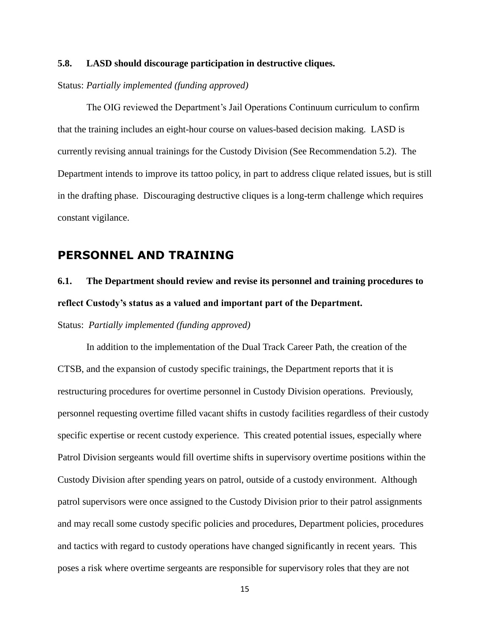### **5.8. LASD should discourage participation in destructive cliques.**

Status: *Partially implemented (funding approved)*

The OIG reviewed the Department's Jail Operations Continuum curriculum to confirm that the training includes an eight-hour course on values-based decision making. LASD is currently revising annual trainings for the Custody Division (See Recommendation 5.2). The Department intends to improve its tattoo policy, in part to address clique related issues, but is still in the drafting phase. Discouraging destructive cliques is a long-term challenge which requires constant vigilance.

### **PERSONNEL AND TRAINING**

## **6.1. The Department should review and revise its personnel and training procedures to reflect Custody's status as a valued and important part of the Department.**

Status: *Partially implemented (funding approved)*

In addition to the implementation of the Dual Track Career Path, the creation of the CTSB, and the expansion of custody specific trainings, the Department reports that it is restructuring procedures for overtime personnel in Custody Division operations. Previously, personnel requesting overtime filled vacant shifts in custody facilities regardless of their custody specific expertise or recent custody experience. This created potential issues, especially where Patrol Division sergeants would fill overtime shifts in supervisory overtime positions within the Custody Division after spending years on patrol, outside of a custody environment. Although patrol supervisors were once assigned to the Custody Division prior to their patrol assignments and may recall some custody specific policies and procedures, Department policies, procedures and tactics with regard to custody operations have changed significantly in recent years. This poses a risk where overtime sergeants are responsible for supervisory roles that they are not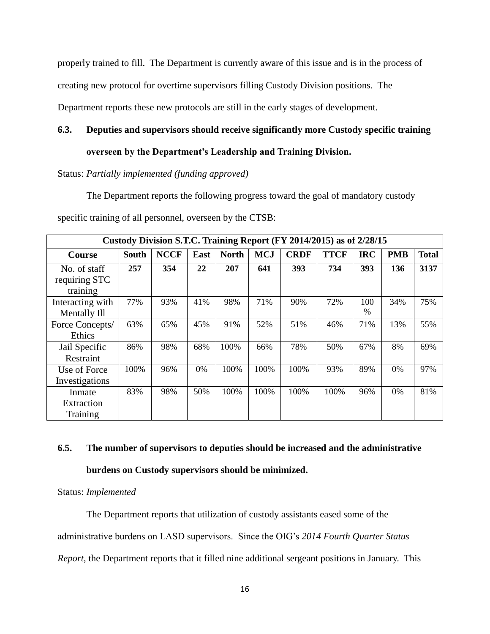properly trained to fill. The Department is currently aware of this issue and is in the process of

creating new protocol for overtime supervisors filling Custody Division positions. The

Department reports these new protocols are still in the early stages of development.

### **6.3. Deputies and supervisors should receive significantly more Custody specific training**

### **overseen by the Department's Leadership and Training Division.**

Status: *Partially implemented (funding approved)*

The Department reports the following progress toward the goal of mandatory custody

| specific training of all personnel, overseen by the CTSB: |  |
|-----------------------------------------------------------|--|
|-----------------------------------------------------------|--|

| Custody Division S.T.C. Training Report (FY 2014/2015) as of 2/28/15 |              |             |      |              |            |             |             |             |            |              |
|----------------------------------------------------------------------|--------------|-------------|------|--------------|------------|-------------|-------------|-------------|------------|--------------|
| Course                                                               | <b>South</b> | <b>NCCF</b> | East | <b>North</b> | <b>MCJ</b> | <b>CRDF</b> | <b>TTCF</b> | <b>IRC</b>  | <b>PMB</b> | <b>Total</b> |
| No. of staff<br>requiring STC<br>training                            | 257          | 354         | 22   | 207          | 641        | 393         | 734         | 393         | 136        | 3137         |
| Interacting with<br>Mentally Ill                                     | 77%          | 93%         | 41%  | 98%          | 71%        | 90%         | 72%         | 100<br>$\%$ | 34%        | 75%          |
| Force Concepts/<br>Ethics                                            | 63%          | 65%         | 45%  | 91%          | 52%        | 51%         | 46%         | 71%         | 13%        | 55%          |
| Jail Specific<br>Restraint                                           | 86%          | 98%         | 68%  | 100%         | 66%        | 78%         | 50%         | 67%         | 8%         | 69%          |
| Use of Force<br>Investigations                                       | 100%         | 96%         | 0%   | 100%         | 100%       | 100%        | 93%         | 89%         | $0\%$      | 97%          |
| Inmate<br>Extraction<br>Training                                     | 83%          | 98%         | 50%  | 100%         | 100%       | 100%        | 100%        | 96%         | 0%         | 81%          |

## **6.5. The number of supervisors to deputies should be increased and the administrative burdens on Custody supervisors should be minimized.**

Status: *Implemented*

The Department reports that utilization of custody assistants eased some of the administrative burdens on LASD supervisors. Since the OIG's *2014 Fourth Quarter Status Report*, the Department reports that it filled nine additional sergeant positions in January. This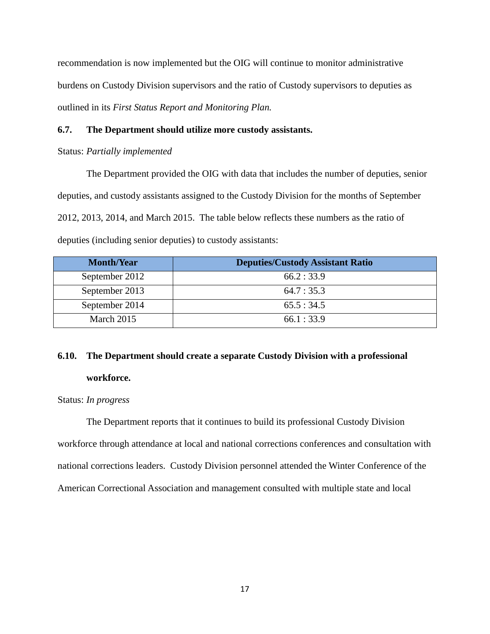recommendation is now implemented but the OIG will continue to monitor administrative burdens on Custody Division supervisors and the ratio of Custody supervisors to deputies as outlined in its *First Status Report and Monitoring Plan.*

#### **6.7. The Department should utilize more custody assistants.**

#### Status: *Partially implemented*

The Department provided the OIG with data that includes the number of deputies, senior deputies, and custody assistants assigned to the Custody Division for the months of September 2012, 2013, 2014, and March 2015. The table below reflects these numbers as the ratio of deputies (including senior deputies) to custody assistants:

| <b>Month/Year</b> | <b>Deputies/Custody Assistant Ratio</b> |
|-------------------|-----------------------------------------|
| September 2012    | 66.2:33.9                               |
| September 2013    | 64.7:35.3                               |
| September 2014    | 65.5:34.5                               |
| March 2015        | 66.1:33.9                               |

## **6.10. The Department should create a separate Custody Division with a professional workforce.**

Status: *In progress*

The Department reports that it continues to build its professional Custody Division workforce through attendance at local and national corrections conferences and consultation with national corrections leaders. Custody Division personnel attended the Winter Conference of the American Correctional Association and management consulted with multiple state and local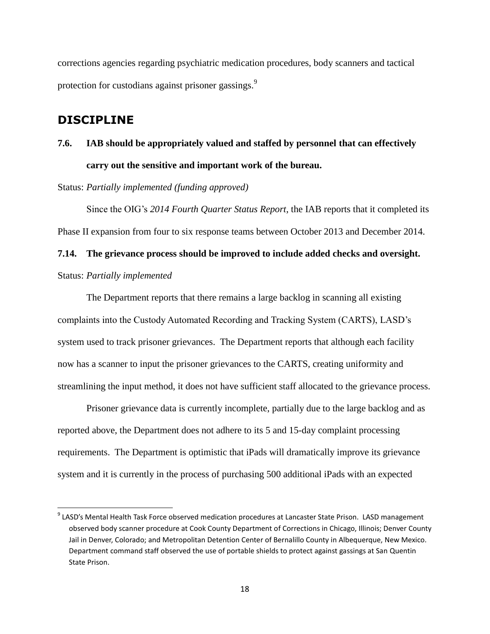corrections agencies regarding psychiatric medication procedures, body scanners and tactical protection for custodians against prisoner gassings.<sup>9</sup>

### **DISCIPLINE**

 $\overline{\phantom{a}}$ 

## **7.6. IAB should be appropriately valued and staffed by personnel that can effectively carry out the sensitive and important work of the bureau.**

Status: *Partially implemented (funding approved)*

Since the OIG's *2014 Fourth Quarter Status Report*, the IAB reports that it completed its Phase II expansion from four to six response teams between October 2013 and December 2014.

## **7.14. The grievance process should be improved to include added checks and oversight.** Status: *Partially implemented*

The Department reports that there remains a large backlog in scanning all existing complaints into the Custody Automated Recording and Tracking System (CARTS), LASD's system used to track prisoner grievances. The Department reports that although each facility now has a scanner to input the prisoner grievances to the CARTS, creating uniformity and streamlining the input method, it does not have sufficient staff allocated to the grievance process.

Prisoner grievance data is currently incomplete, partially due to the large backlog and as reported above, the Department does not adhere to its 5 and 15-day complaint processing requirements. The Department is optimistic that iPads will dramatically improve its grievance system and it is currently in the process of purchasing 500 additional iPads with an expected

<sup>&</sup>lt;sup>9</sup> LASD's Mental Health Task Force observed medication procedures at Lancaster State Prison. LASD management observed body scanner procedure at Cook County Department of Corrections in Chicago, Illinois; Denver County Jail in Denver, Colorado; and Metropolitan Detention Center of Bernalillo County in Albequerque, New Mexico. Department command staff observed the use of portable shields to protect against gassings at San Quentin State Prison.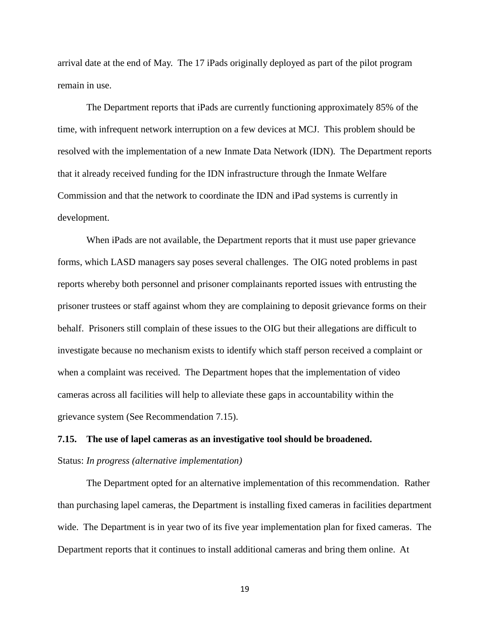arrival date at the end of May. The 17 iPads originally deployed as part of the pilot program remain in use.

The Department reports that iPads are currently functioning approximately 85% of the time, with infrequent network interruption on a few devices at MCJ. This problem should be resolved with the implementation of a new Inmate Data Network (IDN). The Department reports that it already received funding for the IDN infrastructure through the Inmate Welfare Commission and that the network to coordinate the IDN and iPad systems is currently in development.

When iPads are not available, the Department reports that it must use paper grievance forms, which LASD managers say poses several challenges. The OIG noted problems in past reports whereby both personnel and prisoner complainants reported issues with entrusting the prisoner trustees or staff against whom they are complaining to deposit grievance forms on their behalf. Prisoners still complain of these issues to the OIG but their allegations are difficult to investigate because no mechanism exists to identify which staff person received a complaint or when a complaint was received. The Department hopes that the implementation of video cameras across all facilities will help to alleviate these gaps in accountability within the grievance system (See Recommendation 7.15).

## **7.15. The use of lapel cameras as an investigative tool should be broadened.**  Status: *In progress (alternative implementation)*

The Department opted for an alternative implementation of this recommendation. Rather than purchasing lapel cameras, the Department is installing fixed cameras in facilities department wide. The Department is in year two of its five year implementation plan for fixed cameras. The Department reports that it continues to install additional cameras and bring them online. At